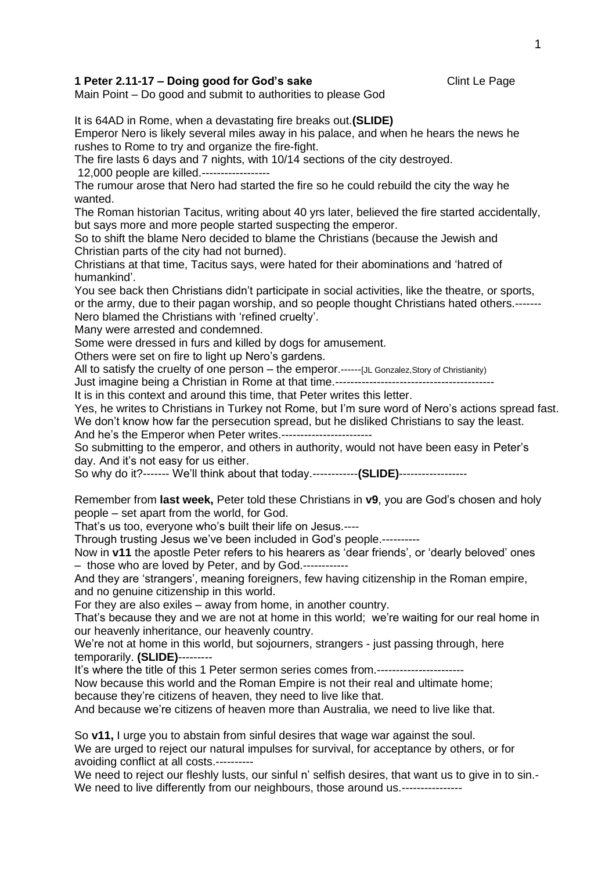## **1 Peter 2.11-17 – Doing good for God's sake Clint Le Page Clint Le Page**

Main Point – Do good and submit to authorities to please God

It is 64AD in Rome, when a devastating fire breaks out.**(SLIDE)**

Emperor Nero is likely several miles away in his palace, and when he hears the news he rushes to Rome to try and organize the fire-fight.

The fire lasts 6 days and 7 nights, with 10/14 sections of the city destroyed.

12,000 people are killed.------------------

The rumour arose that Nero had started the fire so he could rebuild the city the way he wanted.

The Roman historian Tacitus, writing about 40 yrs later, believed the fire started accidentally, but says more and more people started suspecting the emperor.

So to shift the blame Nero decided to blame the Christians (because the Jewish and Christian parts of the city had not burned).

Christians at that time, Tacitus says, were hated for their abominations and 'hatred of humankind'.

You see back then Christians didn't participate in social activities, like the theatre, or sports, or the army, due to their pagan worship, and so people thought Christians hated others.-------

Nero blamed the Christians with 'refined cruelty'.

Many were arrested and condemned.

Some were dressed in furs and killed by dogs for amusement.

Others were set on fire to light up Nero's gardens.

All to satisfy the cruelty of one person – the emperor.------[JL Gonzalez,Story of Christianity)

Just imagine being a Christian in Rome at that time.------------------------------------------

It is in this context and around this time, that Peter writes this letter.

Yes, he writes to Christians in Turkey not Rome, but I'm sure word of Nero's actions spread fast. We don't know how far the persecution spread, but he disliked Christians to say the least. And he's the Emperor when Peter writes.------------------------

So submitting to the emperor, and others in authority, would not have been easy in Peter's day. And it's not easy for us either.

So why do it?------- We'll think about that today.------------**(SLIDE)**------------------

Remember from **last week,** Peter told these Christians in **v9**, you are God's chosen and holy people – set apart from the world, for God.

That's us too, everyone who's built their life on Jesus.----

Through trusting Jesus we've been included in God's people.----------

Now in **v11** the apostle Peter refers to his hearers as 'dear friends', or 'dearly beloved' ones – those who are loved by Peter, and by God.------------

And they are 'strangers', meaning foreigners, few having citizenship in the Roman empire, and no genuine citizenship in this world.

For they are also exiles – away from home, in another country.

That's because they and we are not at home in this world; we're waiting for our real home in our heavenly inheritance, our heavenly country.

We're not at home in this world, but sojourners, strangers - just passing through, here temporarily. **(SLIDE)**---------

It's where the title of this 1 Peter sermon series comes from.------

Now because this world and the Roman Empire is not their real and ultimate home; because they're citizens of heaven, they need to live like that.

And because we're citizens of heaven more than Australia, we need to live like that.

So **v11,** I urge you to abstain from sinful desires that wage war against the soul. We are urged to reject our natural impulses for survival, for acceptance by others, or for avoiding conflict at all costs.----------

We need to reject our fleshly lusts, our sinful n' selfish desires, that want us to give in to sin.-We need to live differently from our neighbours, those around us.----------------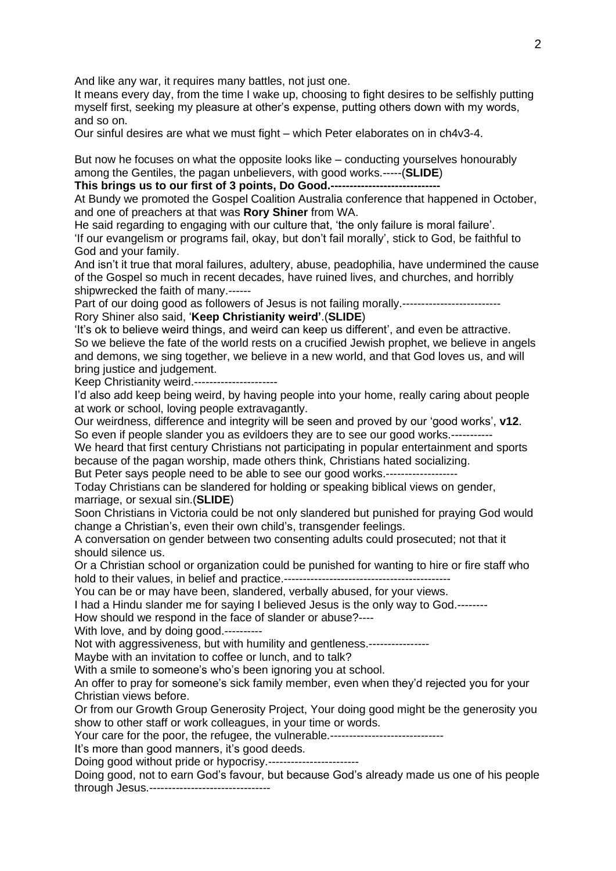And like any war, it requires many battles, not just one.

It means every day, from the time I wake up, choosing to fight desires to be selfishly putting myself first, seeking my pleasure at other's expense, putting others down with my words, and so on.

Our sinful desires are what we must fight – which Peter elaborates on in ch4v3-4.

But now he focuses on what the opposite looks like – conducting yourselves honourably among the Gentiles, the pagan unbelievers, with good works.-----(**SLIDE**)

**This brings us to our first of 3 points, Do Good.---**

At Bundy we promoted the Gospel Coalition Australia conference that happened in October, and one of preachers at that was **Rory Shiner** from WA.

He said regarding to engaging with our culture that, 'the only failure is moral failure'. 'If our evangelism or programs fail, okay, but don't fail morally', stick to God, be faithful to God and your family.

And isn't it true that moral failures, adultery, abuse, peadophilia, have undermined the cause of the Gospel so much in recent decades, have ruined lives, and churches, and horribly shipwrecked the faith of many.------

Part of our doing good as followers of Jesus is not failing morally.-------------------------- Rory Shiner also said, '**Keep Christianity weird'**.(**SLIDE**)

'It's ok to believe weird things, and weird can keep us different', and even be attractive. So we believe the fate of the world rests on a crucified Jewish prophet, we believe in angels and demons, we sing together, we believe in a new world, and that God loves us, and will bring justice and judgement.

Keep Christianity weird.----------------------

I'd also add keep being weird, by having people into your home, really caring about people at work or school, loving people extravagantly.

Our weirdness, difference and integrity will be seen and proved by our 'good works', **v12**. So even if people slander you as evildoers they are to see our good works.-----------

We heard that first century Christians not participating in popular entertainment and sports because of the pagan worship, made others think, Christians hated socializing.

But Peter says people need to be able to see our good works.-------------------

Today Christians can be slandered for holding or speaking biblical views on gender, marriage, or sexual sin.(**SLIDE**)

Soon Christians in Victoria could be not only slandered but punished for praying God would change a Christian's, even their own child's, transgender feelings.

A conversation on gender between two consenting adults could prosecuted; not that it should silence us.

Or a Christian school or organization could be punished for wanting to hire or fire staff who hold to their values, in belief and practice.--------------------------------------------

You can be or may have been, slandered, verbally abused, for your views.

I had a Hindu slander me for saying I believed Jesus is the only way to God.--------

How should we respond in the face of slander or abuse?----

With love, and by doing good.----------

Not with aggressiveness, but with humility and gentleness.----------------

Maybe with an invitation to coffee or lunch, and to talk?

With a smile to someone's who's been ignoring you at school.

An offer to pray for someone's sick family member, even when they'd rejected you for your Christian views before.

Or from our Growth Group Generosity Project, Your doing good might be the generosity you show to other staff or work colleagues, in your time or words.

Your care for the poor, the refugee, the vulnerable.-----------------------------

It's more than good manners, it's good deeds.

Doing good without pride or hypocrisy.------------------

Doing good, not to earn God's favour, but because God's already made us one of his people through Jesus.--------------------------------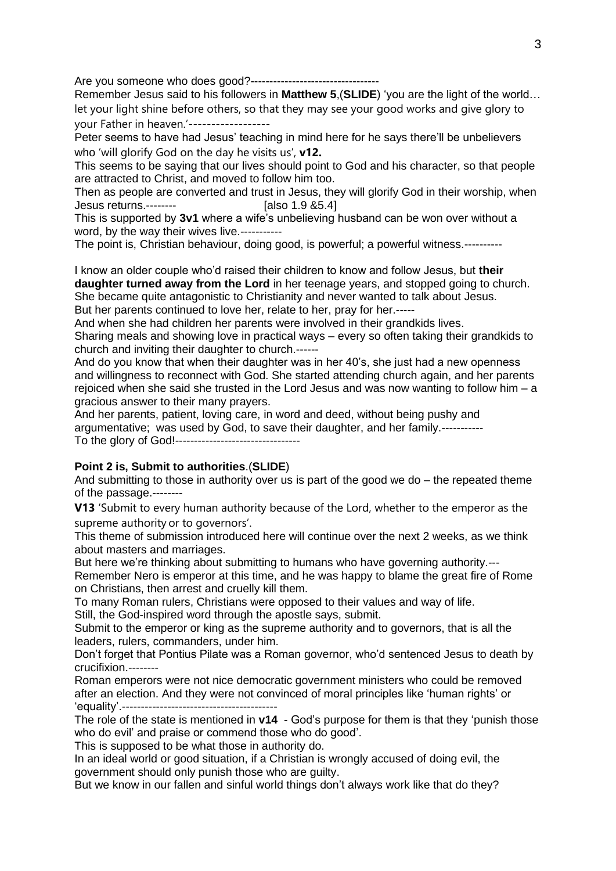Are you someone who does good?----------------------------------

Remember Jesus said to his followers in **Matthew 5**,(**SLIDE**) 'you are the light of the world… let your light shine before others, so that they may see your good works and give glory to your Father in heaven.'------------------

Peter seems to have had Jesus' teaching in mind here for he says there'll be unbelievers who 'will glorify God on the day he visits us', **v12.**

This seems to be saying that our lives should point to God and his character, so that people are attracted to Christ, and moved to follow him too.

Then as people are converted and trust in Jesus, they will glorify God in their worship, when Jesus returns.-------- [also 1.9 &5.4]

This is supported by **3v1** where a wife's unbelieving husband can be won over without a word, by the way their wives live.-----------

The point is, Christian behaviour, doing good, is powerful; a powerful witness.----------

I know an older couple who'd raised their children to know and follow Jesus, but **their daughter turned away from the Lord** in her teenage years, and stopped going to church. She became quite antagonistic to Christianity and never wanted to talk about Jesus. But her parents continued to love her, relate to her, pray for her.-----

And when she had children her parents were involved in their grandkids lives.

Sharing meals and showing love in practical ways – every so often taking their grandkids to church and inviting their daughter to church.------

And do you know that when their daughter was in her 40's, she just had a new openness and willingness to reconnect with God. She started attending church again, and her parents rejoiced when she said she trusted in the Lord Jesus and was now wanting to follow him – a gracious answer to their many prayers.

And her parents, patient, loving care, in word and deed, without being pushy and argumentative; was used by God, to save their daughter, and her family.----------- To the glory of God!---------------------------------

## **Point 2 is, Submit to authorities**.(**SLIDE**)

And submitting to those in authority over us is part of the good we do – the repeated theme of the passage.--------

**V13** 'Submit to every human authority because of the Lord, whether to the emperor as the supreme authority or to governors'.

This theme of submission introduced here will continue over the next 2 weeks, as we think about masters and marriages.

But here we're thinking about submitting to humans who have governing authority.--- Remember Nero is emperor at this time, and he was happy to blame the great fire of Rome on Christians, then arrest and cruelly kill them.

To many Roman rulers, Christians were opposed to their values and way of life. Still, the God-inspired word through the apostle says, submit.

Submit to the emperor or king as the supreme authority and to governors, that is all the leaders, rulers, commanders, under him.

Don't forget that Pontius Pilate was a Roman governor, who'd sentenced Jesus to death by crucifixion.--------

Roman emperors were not nice democratic government ministers who could be removed after an election. And they were not convinced of moral principles like 'human rights' or 'equality'.-----------------------------------------

The role of the state is mentioned in **v14** - God's purpose for them is that they 'punish those who do evil' and praise or commend those who do good'.

This is supposed to be what those in authority do.

In an ideal world or good situation, if a Christian is wrongly accused of doing evil, the government should only punish those who are guilty.

But we know in our fallen and sinful world things don't always work like that do they?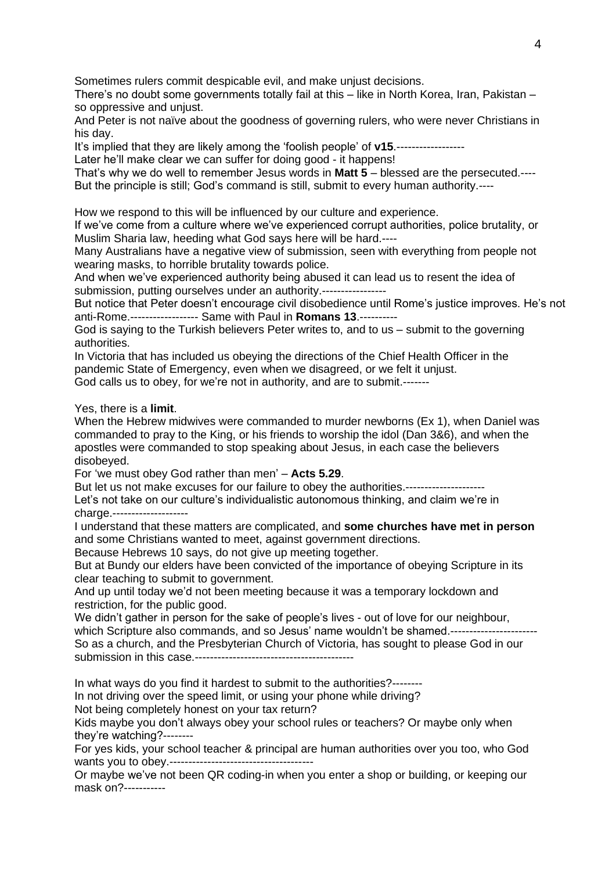Sometimes rulers commit despicable evil, and make unjust decisions.

There's no doubt some governments totally fail at this – like in North Korea, Iran, Pakistan – so oppressive and unjust.

And Peter is not naïve about the goodness of governing rulers, who were never Christians in his day.

It's implied that they are likely among the 'foolish people' of **v15**.------------------

Later he'll make clear we can suffer for doing good - it happens!

That's why we do well to remember Jesus words in **Matt 5** – blessed are the persecuted.---- But the principle is still; God's command is still, submit to every human authority.----

How we respond to this will be influenced by our culture and experience.

If we've come from a culture where we've experienced corrupt authorities, police brutality, or Muslim Sharia law, heeding what God says here will be hard.----

Many Australians have a negative view of submission, seen with everything from people not wearing masks, to horrible brutality towards police.

And when we've experienced authority being abused it can lead us to resent the idea of submission, putting ourselves under an authority.-----------------

But notice that Peter doesn't encourage civil disobedience until Rome's justice improves. He's not anti-Rome.------------------ Same with Paul in **Romans 13**.----------

God is saying to the Turkish believers Peter writes to, and to us – submit to the governing authorities.

In Victoria that has included us obeying the directions of the Chief Health Officer in the pandemic State of Emergency, even when we disagreed, or we felt it unjust. God calls us to obey, for we're not in authority, and are to submit.-------

Yes, there is a **limit**.

When the Hebrew midwives were commanded to murder newborns (Ex 1), when Daniel was commanded to pray to the King, or his friends to worship the idol (Dan 3&6), and when the apostles were commanded to stop speaking about Jesus, in each case the believers disobeyed.

For 'we must obey God rather than men' – **Acts 5.29**.

But let us not make excuses for our failure to obey the authorities.-------------------Let's not take on our culture's individualistic autonomous thinking, and claim we're in charge.--------------------

I understand that these matters are complicated, and **some churches have met in person** and some Christians wanted to meet, against government directions.

Because Hebrews 10 says, do not give up meeting together.

But at Bundy our elders have been convicted of the importance of obeying Scripture in its clear teaching to submit to government.

And up until today we'd not been meeting because it was a temporary lockdown and restriction, for the public good.

We didn't gather in person for the sake of people's lives - out of love for our neighbour, which Scripture also commands, and so Jesus' name wouldn't be shamed.------------------So as a church, and the Presbyterian Church of Victoria, has sought to please God in our submission in this case.------------------------------------------

In what ways do you find it hardest to submit to the authorities?--------

In not driving over the speed limit, or using your phone while driving?

Not being completely honest on your tax return?

Kids maybe you don't always obey your school rules or teachers? Or maybe only when they're watching?--------

For yes kids, your school teacher & principal are human authorities over you too, who God wants you to obey.--------------------------------------

Or maybe we've not been QR coding-in when you enter a shop or building, or keeping our mask on?-----------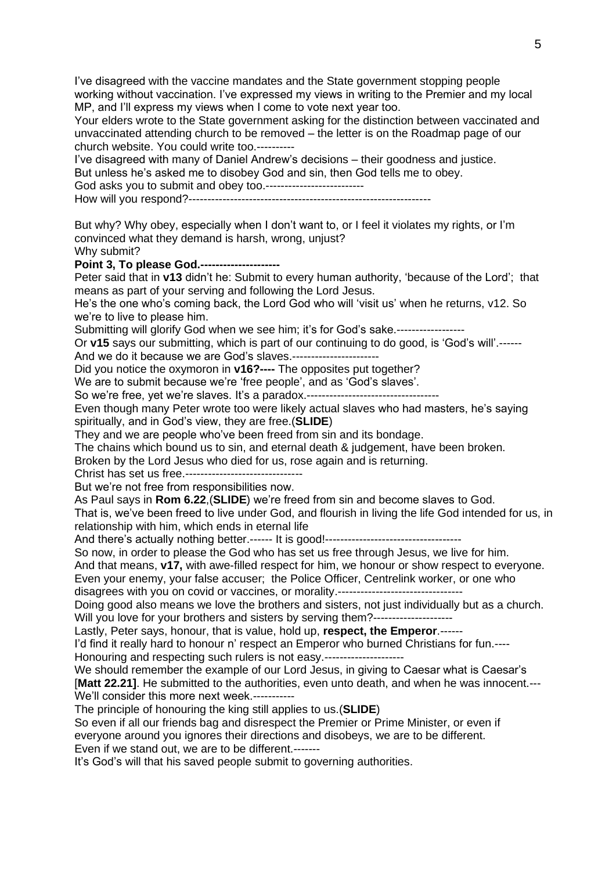I've disagreed with the vaccine mandates and the State government stopping people working without vaccination. I've expressed my views in writing to the Premier and my local MP, and I'll express my views when I come to vote next year too. Your elders wrote to the State government asking for the distinction between vaccinated and unvaccinated attending church to be removed – the letter is on the Roadmap page of our church website. You could write too.---------- I've disagreed with many of Daniel Andrew's decisions – their goodness and justice. But unless he's asked me to disobey God and sin, then God tells me to obey. God asks you to submit and obey too.-------------------------- How will you respond?---------------------------------------------------------------- But why? Why obey, especially when I don't want to, or I feel it violates my rights, or I'm convinced what they demand is harsh, wrong, unjust? Why submit? **Point 3, To please God.---------------------** Peter said that in **v13** didn't he: Submit to every human authority, 'because of the Lord'; that means as part of your serving and following the Lord Jesus. He's the one who's coming back, the Lord God who will 'visit us' when he returns, v12. So we're to live to please him. Submitting will glorify God when we see him; it's for God's sake.-----------------Or **v15** says our submitting, which is part of our continuing to do good, is 'God's will'.------ And we do it because we are God's slaves.----------------------- Did you notice the oxymoron in **v16?----** The opposites put together? We are to submit because we're 'free people', and as 'God's slaves'. So we're free, yet we're slaves. It's a paradox.--------------------------------Even though many Peter wrote too were likely actual slaves who had masters, he's saying spiritually, and in God's view, they are free.(**SLIDE**) They and we are people who've been freed from sin and its bondage. The chains which bound us to sin, and eternal death & judgement, have been broken. Broken by the Lord Jesus who died for us, rose again and is returning. Christ has set us free.------------------------------- But we're not free from responsibilities now. As Paul says in **Rom 6.22**,(**SLIDE**) we're freed from sin and become slaves to God. That is, we've been freed to live under God, and flourish in living the life God intended for us, in relationship with him, which ends in eternal life And there's actually nothing better.------ It is good!------------------------------------ So now, in order to please the God who has set us free through Jesus, we live for him. And that means, **v17,** with awe-filled respect for him, we honour or show respect to everyone. Even your enemy, your false accuser; the Police Officer, Centrelink worker, or one who disagrees with you on covid or vaccines, or morality.--------------------------------- Doing good also means we love the brothers and sisters, not just individually but as a church. Will you love for your brothers and sisters by serving them?--------------------Lastly, Peter says, honour, that is value, hold up, **respect, the Emperor**.------ I'd find it really hard to honour n' respect an Emperor who burned Christians for fun.---- Honouring and respecting such rulers is not easy.--------------------------------We should remember the example of our Lord Jesus, in giving to Caesar what is Caesar's [**Matt 22.21]**. He submitted to the authorities, even unto death, and when he was innocent.--- We'll consider this more next week.-----------The principle of honouring the king still applies to us.(**SLIDE**) So even if all our friends bag and disrespect the Premier or Prime Minister, or even if everyone around you ignores their directions and disobeys, we are to be different. Even if we stand out, we are to be different.------- It's God's will that his saved people submit to governing authorities.

5